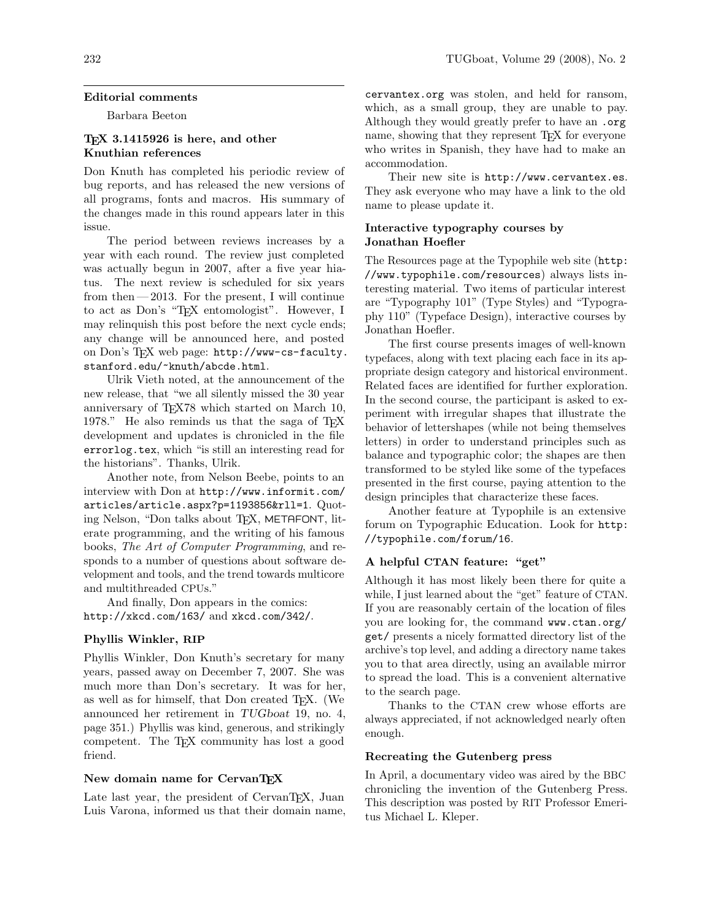## Editorial comments

Barbara Beeton

# TEX 3.1415926 is here, and other Knuthian references

Don Knuth has completed his periodic review of bug reports, and has released the new versions of all programs, fonts and macros. His summary of the changes made in this round appears later in this issue.

The period between reviews increases by a year with each round. The review just completed was actually begun in 2007, after a five year hiatus. The next review is scheduled for six years from then $-2013$ . For the present, I will continue to act as Don's "TEX entomologist". However, I may relinquish this post before the next cycle ends; any change will be announced here, and posted on Don's TEX web page: http://www-cs-faculty. stanford.edu/~knuth/abcde.html.

Ulrik Vieth noted, at the announcement of the new release, that "we all silently missed the 30 year anniversary of TEX78 which started on March 10, 1978." He also reminds us that the saga of TEX development and updates is chronicled in the file errorlog.tex, which "is still an interesting read for the historians". Thanks, Ulrik.

Another note, from Nelson Beebe, points to an interview with Don at http://www.informit.com/ articles/article.aspx?p=1193856&rll=1. Quoting Nelson, "Don talks about T<sub>F</sub>X, METAFONT, literate programming, and the writing of his famous books, The Art of Computer Programming, and responds to a number of questions about software development and tools, and the trend towards multicore and multithreaded CPUs."

And finally, Don appears in the comics: http://xkcd.com/163/ and xkcd.com/342/.

## Phyllis Winkler, RIP

Phyllis Winkler, Don Knuth's secretary for many years, passed away on December 7, 2007. She was much more than Don's secretary. It was for her, as well as for himself, that Don created TEX. (We announced her retirement in TUGboat 19, no. 4, page 351.) Phyllis was kind, generous, and strikingly competent. The TEX community has lost a good friend.

# New domain name for CervanTEX

Late last year, the president of CervanTEX, Juan Luis Varona, informed us that their domain name,

cervantex.org was stolen, and held for ransom, which, as a small group, they are unable to pay. Although they would greatly prefer to have an .org name, showing that they represent TFX for everyone who writes in Spanish, they have had to make an accommodation.

Their new site is http://www.cervantex.es. They ask everyone who may have a link to the old name to please update it.

# Interactive typography courses by Jonathan Hoefler

The Resources page at the Typophile web site (http: //www.typophile.com/resources) always lists interesting material. Two items of particular interest are "Typography 101" (Type Styles) and "Typography 110" (Typeface Design), interactive courses by Jonathan Hoefler.

The first course presents images of well-known typefaces, along with text placing each face in its appropriate design category and historical environment. Related faces are identified for further exploration. In the second course, the participant is asked to experiment with irregular shapes that illustrate the behavior of lettershapes (while not being themselves letters) in order to understand principles such as balance and typographic color; the shapes are then transformed to be styled like some of the typefaces presented in the first course, paying attention to the design principles that characterize these faces.

Another feature at Typophile is an extensive forum on Typographic Education. Look for http: //typophile.com/forum/16.

## A helpful CTAN feature: "get"

Although it has most likely been there for quite a while, I just learned about the "get" feature of CTAN. If you are reasonably certain of the location of files you are looking for, the command www.ctan.org/ get/ presents a nicely formatted directory list of the archive's top level, and adding a directory name takes you to that area directly, using an available mirror to spread the load. This is a convenient alternative to the search page.

Thanks to the CTAN crew whose efforts are always appreciated, if not acknowledged nearly often enough.

### Recreating the Gutenberg press

In April, a documentary video was aired by the BBC chronicling the invention of the Gutenberg Press. This description was posted by RIT Professor Emeritus Michael L. Kleper.